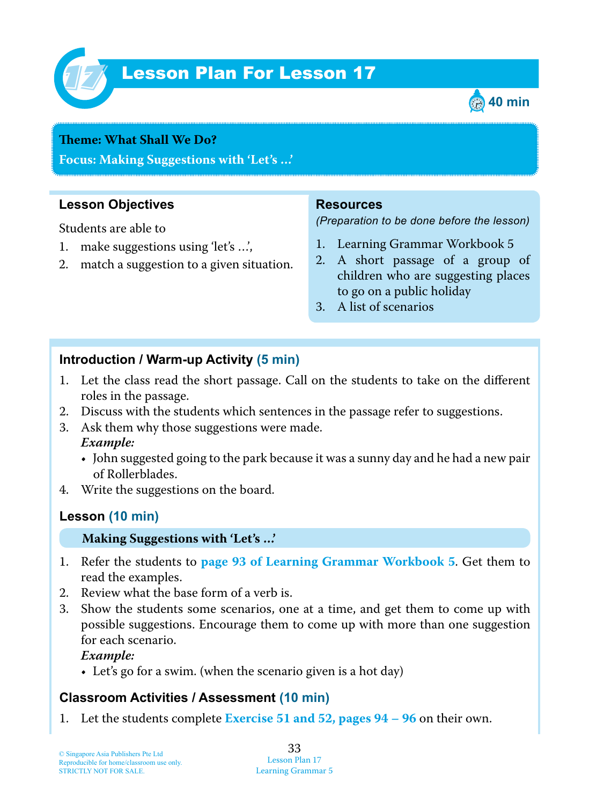

# Lesson Plan For Lesson 17 *17*



#### **Teme : What Shall We Do?**

**Focus: Making Suggestions with 'Let's …'**

## **Lesson Objectives**

Students are able to

- 1. make suggestions using 'let's ...',
- 2. match a suggestion to a given situation.

### **Resources**

*(Preparation to be done before the lesson)*

- 1. Learning Grammar Workbook 5
- 2. A short passage of a group of children who are suggesting places to go on a public holiday
- 3. A list of scenarios

## **Introduction / Warm-up Activity (5 min)**

- 1. Let the class read the short passage. Call on the students to take on the different roles in the passage.
- 2. Discuss with the students which sentences in the passage refer to suggestions.
- 3. Ask them why those suggestions were made.  *Example:*
	- John suggested going to the park because it was a sunny day and he had a new pair of Rollerblades.
- 4. Write the suggestions on the board.

## **Lesson (10 min)**

### **Making Suggestions with 'Let's …'**

- 1 . Refer the students to **page 93 of Learning Grammar Workbook 5**. Get them to read the examples.
- 2. Review what the base form of a verb is.
- 3. Show the students some scenarios, one at a time, and get them to come up with possible suggestions. Encourage them to come up with more than one suggestion for each scenario.

 *Example:*

• Let's go for a swim. (when the scenario given is a hot day)

# **Classroom Activities / Assessment (10 min)**

1 . Let the students complete **Exercise 51 and 52, pages 94 – 96** on their own.